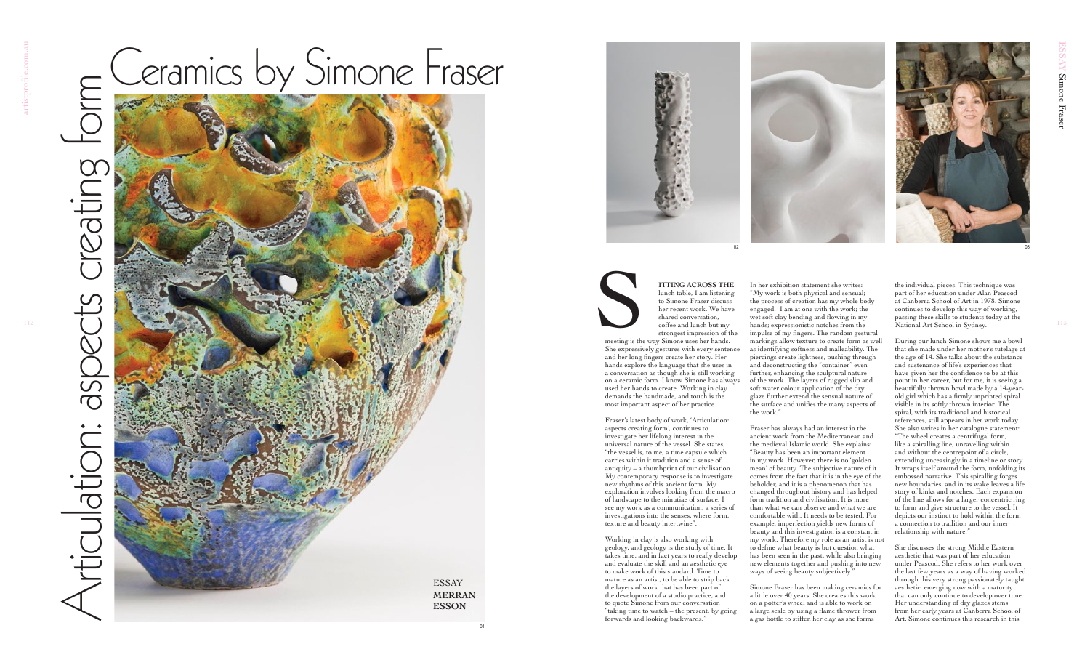



meeting is the way Simone uses her hands. She expressively gestures with every sentence and her long fingers create her story. Her hands explore the language that she uses in a conversation as though she is still working on a ceramic form. I know Simone has always used her hands to create. Working in clay demands the handmade, and touch is the most important aspect of her practice. Supply of the Materials of the Materials of the Materials of the Material Street of the Material Street of the Material Street of the Material Street of the Material Street of the Material Street of the Material Street of

**ITTING ACROSS THE** lunch table, I am listening to Simone Fraser discuss her recent work. We have shared conversation, coffee and lunch but my strongest impression of the

Fraser's latest body of work, 'Articulation: aspects creating form'*,* continues to investigate her lifelong interest in the universal nature of the vessel. She states, "the vessel is, to me, a time capsule which carries within it tradition and a sense of antiquity – a thumbprint of our civilisation. My contemporary response is to investigate new rhythms of this ancient form. My exploration involves looking from the macro of landscape to the minutiae of surface. I see my work as a communication, a series of investigations into the senses, where form, texture and beauty intertwine".

Fraser has always had an interest in the ancient work from the Mediterranean and the medieval Islamic world. She explains: "Beauty has been an important element in my work. However, there is no 'golden mean' of beauty. The subjective nature of it comes from the fact that it is in the eye of the beholder, and it is a phenomenon that has changed throughout history and has helped form tradition and civilisation. It is more than what we can observe and what we are comfortable with. It needs to be tested. For example, imperfection yields new forms of beauty and this investigation is a constant in my work. Therefore my role as an artist is not to define what beauty is but question what has been seen in the past, while also bringing new elements together and pushing into new ways of seeing beauty subjectively.

Working in clay is also working with geology, and geology is the study of time. It takes time, and in fact years to really develop and evaluate the skill and an aesthetic eye to make work of this standard. Time to mature as an artist, to be able to strip back the layers of work that has been part of the development of a studio practice, and to quote Simone from our conversation "taking time to watch – the present, by going forwards and looking backwards."

In her exhibition statement she writes: "My work is both physical and sensual; the process of creation has my whole body engaged. I am at one with the work; the wet soft clay bending and flowing in my hands; expressionistic notches from the impulse of my fingers. The random gestural markings allow texture to create form as well as identifying softness and malleability. The piercings create lightness, pushing through and deconstructing the "container" even further, enhancing the sculptural nature of the work. The layers of rugged slip and soft water colour application of the dry glaze further extend the sensual nature of the surface and unifies the many aspects of the work."

## Articulation: aspects creating form Articulation:



Simone Fraser has been making ceramics for a little over 40 years. She creates this work on a potter's wheel and is able to work on a large scale by using a flame thrower from a gas bottle to stiffen her clay as she forms

the individual pieces. This technique was part of her education under Alan Peascod at Canberra School of Art in 1978. Simone continues to develop this way of working, passing these skills to students today at the National Art School in Sydney.

During our lunch Simone shows me a bowl that she made under her mother's tutelage at the age of 14. She talks about the substance and sustenance of life's experiences that have given her the confidence to be at this point in her career, but for me, it is seeing a beautifully thrown bowl made by a 14-yearold girl which has a firmly imprinted spiral visible in its softly thrown interior. The spiral, with its traditional and historical references, still appears in her work today. She also writes in her catalogue statement: "The wheel creates a centrifugal form, like a spiralling line, unravelling within and without the centrepoint of a circle, extending unceasingly in a timeline or story. It wraps itself around the form, unfolding its embossed narrative. This spiralling forges new boundaries, and in its wake leaves a life story of kinks and notches. Each expansion of the line allows for a larger concentric ring to form and give structure to the vessel. It depicts our instinct to hold within the form a connection to tradition and our inner relationship with nature."

She discusses the strong Middle Eastern aesthetic that was part of her education under Peascod. She refers to her work over the last few years as a way of having worked through this very strong passionately taught aesthetic, emerging now with a maturity that can only continue to develop over time. Her understanding of dry glazes stems from her early years at Canberra School of Art. Simone continues this research in this

01



## Ceramics by Simone Fraser